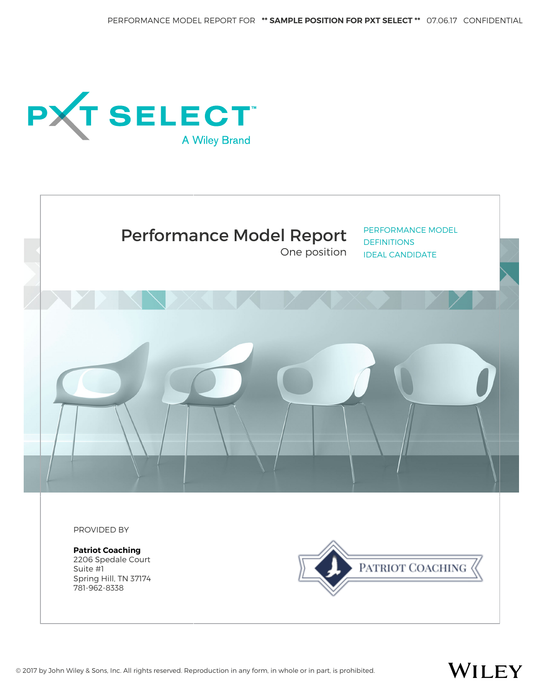One position





PERFORMANCE MODEL **DEFINITIONS** IDEAL CANDIDATE

PROVIDED BY

**Patriot Coaching** 2206 Spedale Court Suite #1 Spring Hill, TN 37174 781-962-8338



# WILEY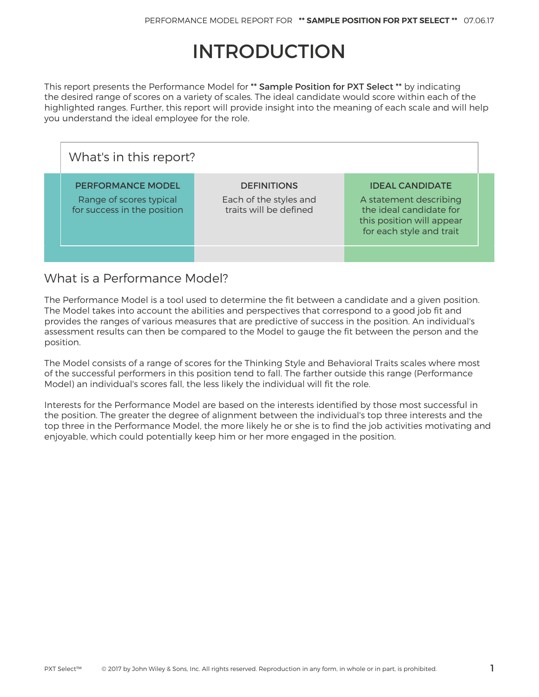# INTRODUCTION

This report presents the Performance Model for \*\* Sample Position for PXT Select \*\* by indicating the desired range of scores on a variety of scales. The ideal candidate would score within each of the highlighted ranges. Further, this report will provide insight into the meaning of each scale and will help you understand the ideal employee for the role.

| What's in this report?                                                             |                                                                        |                                                                                                                                      |  |  |  |  |  |
|------------------------------------------------------------------------------------|------------------------------------------------------------------------|--------------------------------------------------------------------------------------------------------------------------------------|--|--|--|--|--|
| <b>PERFORMANCE MODEL</b><br>Range of scores typical<br>for success in the position | <b>DEFINITIONS</b><br>Each of the styles and<br>traits will be defined | <b>IDEAL CANDIDATE</b><br>A statement describing<br>the ideal candidate for<br>this position will appear<br>for each style and trait |  |  |  |  |  |
|                                                                                    |                                                                        |                                                                                                                                      |  |  |  |  |  |

## What is a Performance Model?

The Performance Model is a tool used to determine the fit between a candidate and a given position. The Model takes into account the abilities and perspectives that correspond to a good job fit and provides the ranges of various measures that are predictive of success in the position. An individual's assessment results can then be compared to the Model to gauge the fit between the person and the position.

The Model consists of a range of scores for the Thinking Style and Behavioral Traits scales where most of the successful performers in this position tend to fall. The farther outside this range (Performance Model) an individual's scores fall, the less likely the individual will fit the role.

Interests for the Performance Model are based on the interests identified by those most successful in the position. The greater the degree of alignment between the individual's top three interests and the top three in the Performance Model, the more likely he or she is to find the job activities motivating and enjoyable, which could potentially keep him or her more engaged in the position.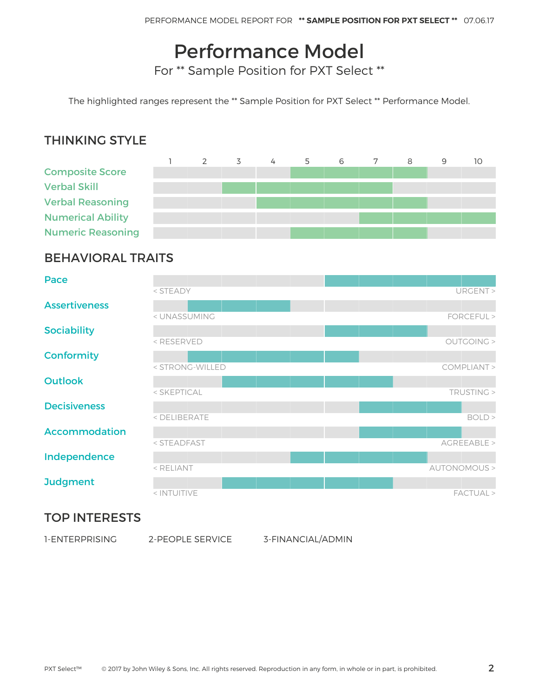# Performance Model

For \*\* Sample Position for PXT Select \*\*

The highlighted ranges represent the \*\* Sample Position for PXT Select \*\* Performance Model.

### THINKING STYLE



### BEHAVIORAL TRAITS

| Pace                                                |              |
|-----------------------------------------------------|--------------|
| < STEADY                                            | URGENT >     |
| <b>Assertiveness</b>                                |              |
| < UNASSUMING                                        | FORCEFUL >   |
| <b>Sociability</b>                                  |              |
| <reserved< th=""><td>OUTGOING &gt;</td></reserved<> | OUTGOING >   |
| <b>Conformity</b>                                   |              |
| < STRONG-WILLED                                     | COMPLIANT >  |
| <b>Outlook</b>                                      |              |
| < SKEPTICAL                                         | TRUSTING >   |
| <b>Decisiveness</b>                                 |              |
| < DELIBERATE                                        | BOLD >       |
| <b>Accommodation</b>                                |              |
| < STEADFAST                                         | AGREEABLE >  |
| Independence                                        |              |
| < RELIANT                                           | AUTONOMOUS > |
| <b>Judgment</b>                                     |              |
| < INTUITIVE                                         | FACTUAL >    |

### TOP INTERESTS

2-PEOPLE SERVICE 3-FINANCIAL/ADMIN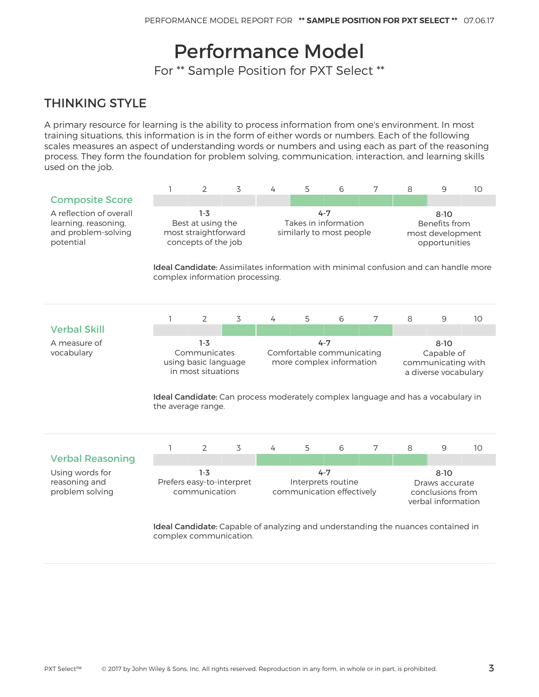# Performance Model

For \*\* Sample Position for PXT Select \*\*

# THINKING STYLE

A primary resource for learning is the ability to process information from one's environment. In most training situations, this information is in the form of either words or numbers. Each of the following scales measures an aspect of understanding words or numbers and using each as part of the reasoning process. They form the foundation for problem solving, communication, interaction, and learning skills used on the job.

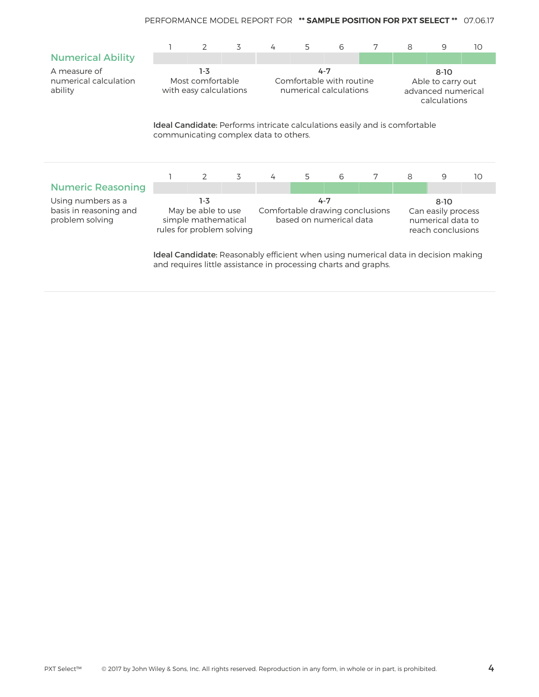|                                                                                                                             |                                                                                                                                                              | 2 | 3                                                                     | 4 | 5 | 6                                                                        | 7 | 8 | 9 | 10 |  |
|-----------------------------------------------------------------------------------------------------------------------------|--------------------------------------------------------------------------------------------------------------------------------------------------------------|---|-----------------------------------------------------------------------|---|---|--------------------------------------------------------------------------|---|---|---|----|--|
| <b>Numerical Ability</b>                                                                                                    |                                                                                                                                                              |   |                                                                       |   |   |                                                                          |   |   |   |    |  |
| A measure of<br>numerical calculation<br>ability                                                                            | $1-3$<br>Most comfortable<br>with easy calculations                                                                                                          |   | $4 - 7$<br>Comfortable with routine<br>numerical calculations         |   |   | $8-10$<br>Able to carry out<br>advanced numerical<br>calculations        |   |   |   |    |  |
| <b>Ideal Candidate</b> : Performs intricate calculations easily and is comfortable<br>communicating complex data to others. |                                                                                                                                                              |   |                                                                       |   |   |                                                                          |   |   |   |    |  |
|                                                                                                                             |                                                                                                                                                              | 2 | 3                                                                     | 4 | 5 | 6                                                                        | 7 | 8 | 9 | 10 |  |
| <b>Numeric Reasoning</b>                                                                                                    |                                                                                                                                                              |   |                                                                       |   |   |                                                                          |   |   |   |    |  |
| Using numbers as a<br>basis in reasoning and<br>problem solving                                                             | $1-3$<br>May be able to use<br>simple mathematical<br>rules for problem solving                                                                              |   | $4 - 7$<br>Comfortable drawing conclusions<br>based on numerical data |   |   | $8 - 10$<br>Can easily process<br>numerical data to<br>reach conclusions |   |   |   |    |  |
|                                                                                                                             | <b>Ideal Candidate:</b> Reasonably efficient when using numerical data in decision making<br>and requires little assistance in processing charts and graphs. |   |                                                                       |   |   |                                                                          |   |   |   |    |  |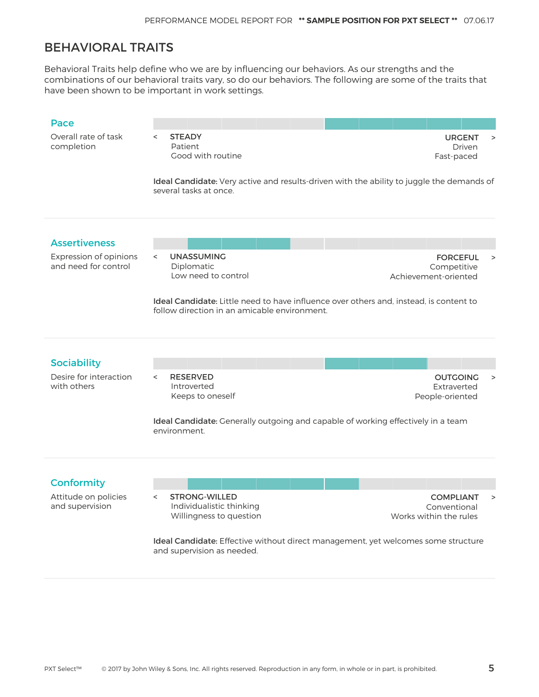### BEHAVIORAL TRAITS

Behavioral Traits help define who we are by influencing our behaviors. As our strengths and the combinations of our behavioral traits vary, so do our behaviors. The following are some of the traits that have been shown to be important in work settings.

#### Pace

Overall rate of task completion

< STEADY Patient Good with routine

URGENT > Driven Fast-paced

Ideal Candidate: Very active and results-driven with the ability to juggle the demands of several tasks at once.

#### Assertiveness

Expression of opinions and need for control

< UNASSUMING Diplomatic Low need to control

FORCEFUL > Competitive Achievement-oriented

Ideal Candidate: Little need to have influence over others and, instead, is content to follow direction in an amicable environment.

#### **Sociability**

Desire for interaction with others

< RESERVED Introverted Keeps to oneself

OUTGOING > Extraverted People-oriented

Ideal Candidate: Generally outgoing and capable of working effectively in a team environment.

#### **Conformity**

Attitude on policies and supervision

< STRONG-WILLED Individualistic thinking Willingness to question

COMPLIANT > Conventional Works within the rules

Ideal Candidate: Effective without direct management, yet welcomes some structure and supervision as needed.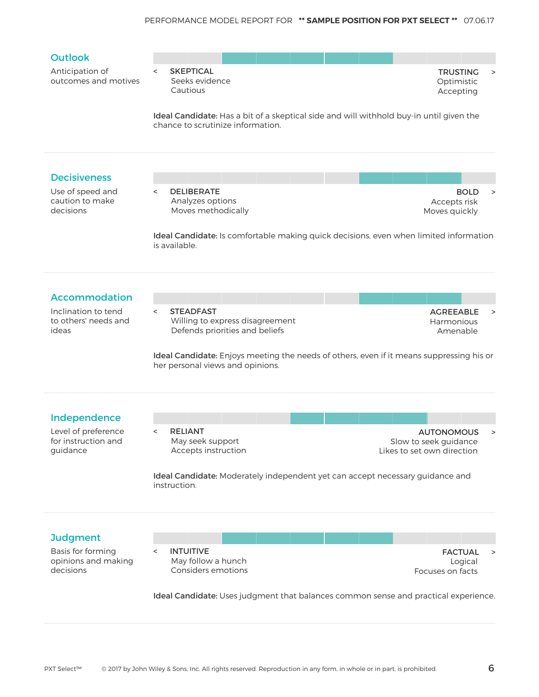

#### Independence

Level of preference for instruction and guidance

- 
- < RELIANT May seek support Accepts instruction

AUTONOMOUS > Slow to seek guidance Likes to set own direction

Ideal Candidate: Moderately independent yet can accept necessary guidance and instruction.

#### **Judgment**

Basis for forming opinions and making decisions

< INTUITIVE May follow a hunch Considers emotions

FACTUAL > Logical Focuses on facts

Ideal Candidate: Uses judgment that balances common sense and practical experience.